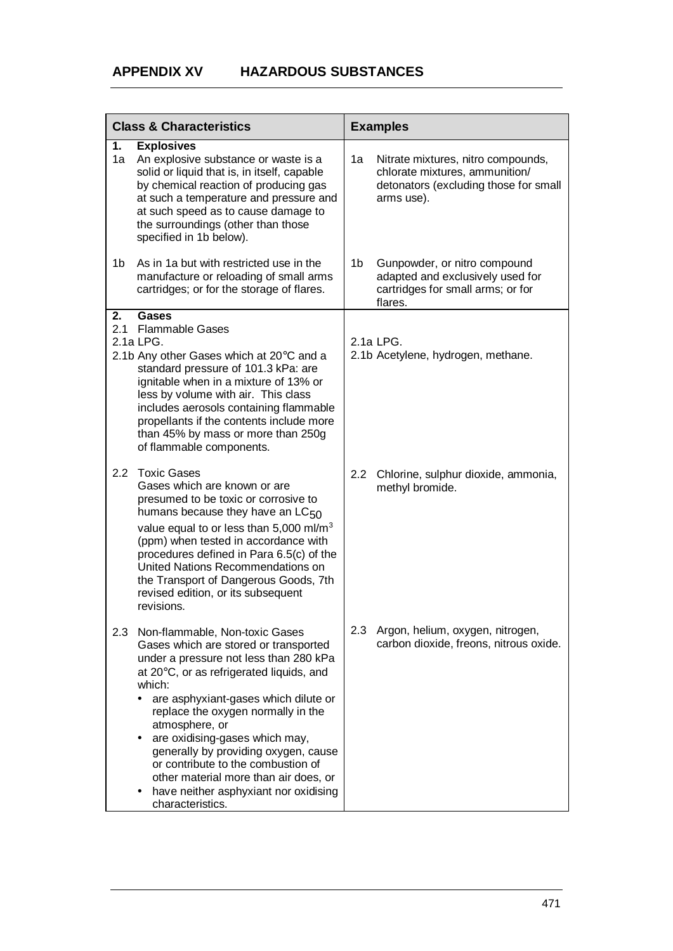| <b>Class &amp; Characteristics</b> |                                                                                                                                                                                                                                                                                                                                                                                                                                                                                                    | <b>Examples</b>  |                                                                                                                             |  |
|------------------------------------|----------------------------------------------------------------------------------------------------------------------------------------------------------------------------------------------------------------------------------------------------------------------------------------------------------------------------------------------------------------------------------------------------------------------------------------------------------------------------------------------------|------------------|-----------------------------------------------------------------------------------------------------------------------------|--|
| 1.<br>1a                           | <b>Explosives</b><br>An explosive substance or waste is a<br>solid or liquid that is, in itself, capable<br>by chemical reaction of producing gas<br>at such a temperature and pressure and<br>at such speed as to cause damage to<br>the surroundings (other than those<br>specified in 1b below).                                                                                                                                                                                                | 1a               | Nitrate mixtures, nitro compounds,<br>chlorate mixtures, ammunition/<br>detonators (excluding those for small<br>arms use). |  |
| 1b                                 | As in 1a but with restricted use in the<br>manufacture or reloading of small arms<br>cartridges; or for the storage of flares.                                                                                                                                                                                                                                                                                                                                                                     | 1b               | Gunpowder, or nitro compound<br>adapted and exclusively used for<br>cartridges for small arms; or for<br>flares.            |  |
| 2.<br>2.1                          | <b>Gases</b><br><b>Flammable Gases</b><br>2.1a LPG.<br>2.1b Any other Gases which at $20^{\circ}$ C and a<br>standard pressure of 101.3 kPa: are<br>ignitable when in a mixture of 13% or<br>less by volume with air. This class<br>includes aerosols containing flammable<br>propellants if the contents include more<br>than 45% by mass or more than 250g<br>of flammable components.                                                                                                           |                  | 2.1a LPG.<br>2.1b Acetylene, hydrogen, methane.                                                                             |  |
| 2.2                                | <b>Toxic Gases</b><br>Gases which are known or are<br>presumed to be toxic or corrosive to<br>humans because they have an $LC_{50}$<br>value equal to or less than 5,000 ml/m <sup>3</sup><br>(ppm) when tested in accordance with<br>procedures defined in Para 6.5(c) of the<br>United Nations Recommendations on<br>the Transport of Dangerous Goods, 7th<br>revised edition, or its subsequent<br>revisions.                                                                                   | 2.2 <sub>2</sub> | Chlorine, sulphur dioxide, ammonia,<br>methyl bromide.                                                                      |  |
| 2.3                                | Non-flammable, Non-toxic Gases<br>Gases which are stored or transported<br>under a pressure not less than 280 kPa<br>at 20°C, or as refrigerated liquids, and<br>which:<br>are asphyxiant-gases which dilute or<br>replace the oxygen normally in the<br>atmosphere, or<br>are oxidising-gases which may,<br>٠<br>generally by providing oxygen, cause<br>or contribute to the combustion of<br>other material more than air does, or<br>have neither asphyxiant nor oxidising<br>characteristics. | 2.3 <sub>2</sub> | Argon, helium, oxygen, nitrogen,<br>carbon dioxide, freons, nitrous oxide.                                                  |  |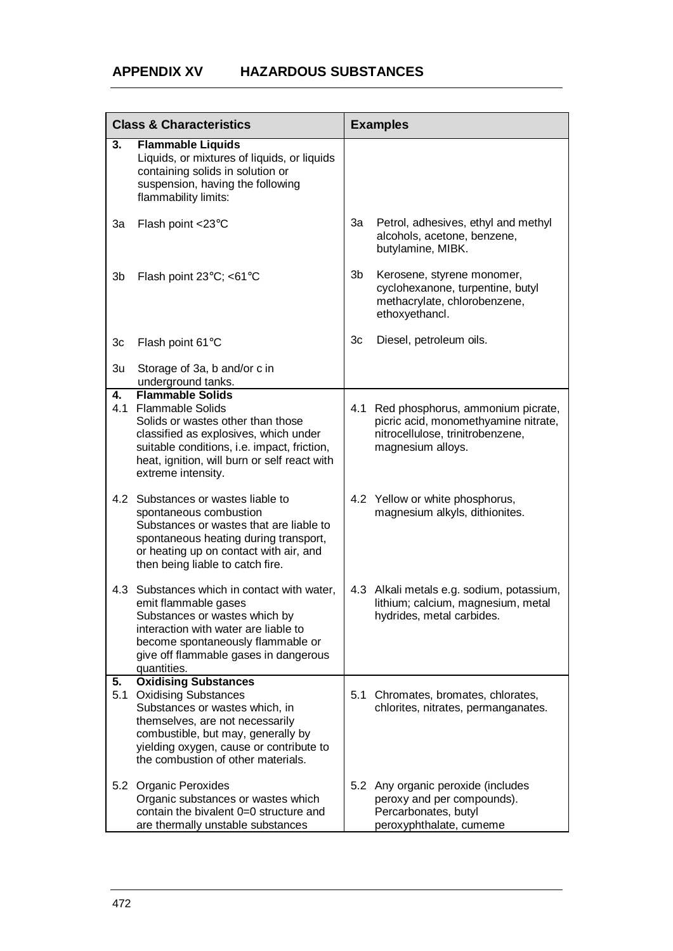| <b>Class &amp; Characteristics</b> |                                                                                                                                                                                                                                                        | <b>Examples</b> |                                                                                                                                        |
|------------------------------------|--------------------------------------------------------------------------------------------------------------------------------------------------------------------------------------------------------------------------------------------------------|-----------------|----------------------------------------------------------------------------------------------------------------------------------------|
| 3.                                 | <b>Flammable Liquids</b><br>Liquids, or mixtures of liquids, or liquids<br>containing solids in solution or<br>suspension, having the following<br>flammability limits:                                                                                |                 |                                                                                                                                        |
| 3a                                 | Flash point <23°C                                                                                                                                                                                                                                      | 3a              | Petrol, adhesives, ethyl and methyl<br>alcohols, acetone, benzene,<br>butylamine, MIBK.                                                |
| 3b                                 | Flash point 23°C; <61°C                                                                                                                                                                                                                                | 3b              | Kerosene, styrene monomer,<br>cyclohexanone, turpentine, butyl<br>methacrylate, chlorobenzene,<br>ethoxyethancl.                       |
| Зc                                 | Flash point 61°C                                                                                                                                                                                                                                       | 3c              | Diesel, petroleum oils.                                                                                                                |
| 3u                                 | Storage of 3a, b and/or c in<br>underground tanks.                                                                                                                                                                                                     |                 |                                                                                                                                        |
| 4.<br>4.1                          | <b>Flammable Solids</b><br><b>Flammable Solids</b><br>Solids or wastes other than those<br>classified as explosives, which under<br>suitable conditions, i.e. impact, friction,<br>heat, ignition, will burn or self react with<br>extreme intensity.  |                 | 4.1 Red phosphorus, ammonium picrate,<br>picric acid, monomethyamine nitrate,<br>nitrocellulose, trinitrobenzene,<br>magnesium alloys. |
|                                    | 4.2 Substances or wastes liable to<br>spontaneous combustion<br>Substances or wastes that are liable to<br>spontaneous heating during transport,<br>or heating up on contact with air, and<br>then being liable to catch fire.                         |                 | 4.2 Yellow or white phosphorus,<br>magnesium alkyls, dithionites.                                                                      |
|                                    | 4.3 Substances which in contact with water,<br>emit flammable gases<br>Substances or wastes which by<br>interaction with water are liable to<br>become spontaneously flammable or<br>give off flammable gases in dangerous<br>quantities.              |                 | 4.3 Alkali metals e.g. sodium, potassium,<br>lithium; calcium, magnesium, metal<br>hydrides, metal carbides.                           |
| 5.<br>5.1                          | <b>Oxidising Substances</b><br><b>Oxidising Substances</b><br>Substances or wastes which, in<br>themselves, are not necessarily<br>combustible, but may, generally by<br>yielding oxygen, cause or contribute to<br>the combustion of other materials. | 5.1             | Chromates, bromates, chlorates,<br>chlorites, nitrates, permanganates.                                                                 |
|                                    | 5.2 Organic Peroxides<br>Organic substances or wastes which<br>contain the bivalent 0=0 structure and<br>are thermally unstable substances                                                                                                             |                 | 5.2 Any organic peroxide (includes<br>peroxy and per compounds).<br>Percarbonates, butyl<br>peroxyphthalate, cumeme                    |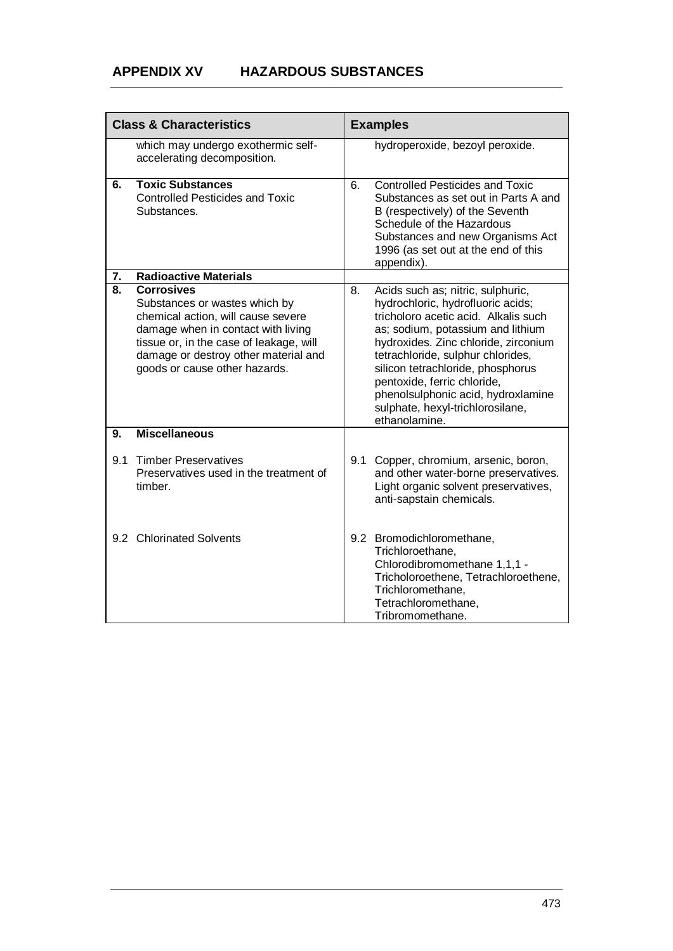## **APPENDIX XV HAZARDOUS SUBSTANCES**

| <b>Class &amp; Characteristics</b> |                                                                                                                                                                                                                                                    | <b>Examples</b> |                                                                                                                                                                                                                                                                                                                                                                                                 |
|------------------------------------|----------------------------------------------------------------------------------------------------------------------------------------------------------------------------------------------------------------------------------------------------|-----------------|-------------------------------------------------------------------------------------------------------------------------------------------------------------------------------------------------------------------------------------------------------------------------------------------------------------------------------------------------------------------------------------------------|
|                                    | which may undergo exothermic self-<br>accelerating decomposition.                                                                                                                                                                                  |                 | hydroperoxide, bezoyl peroxide.                                                                                                                                                                                                                                                                                                                                                                 |
| 6.                                 | <b>Toxic Substances</b><br><b>Controlled Pesticides and Toxic</b><br>Substances.                                                                                                                                                                   | 6.              | <b>Controlled Pesticides and Toxic</b><br>Substances as set out in Parts A and<br>B (respectively) of the Seventh<br>Schedule of the Hazardous<br>Substances and new Organisms Act<br>1996 (as set out at the end of this<br>appendix).                                                                                                                                                         |
| 7.                                 | <b>Radioactive Materials</b>                                                                                                                                                                                                                       |                 |                                                                                                                                                                                                                                                                                                                                                                                                 |
| 8.                                 | <b>Corrosives</b><br>Substances or wastes which by<br>chemical action, will cause severe<br>damage when in contact with living<br>tissue or, in the case of leakage, will<br>damage or destroy other material and<br>goods or cause other hazards. | 8.              | Acids such as; nitric, sulphuric,<br>hydrochloric, hydrofluoric acids;<br>tricholoro acetic acid. Alkalis such<br>as; sodium, potassium and lithium<br>hydroxides. Zinc chloride, zirconium<br>tetrachloride, sulphur chlorides,<br>silicon tetrachloride, phosphorus<br>pentoxide, ferric chloride,<br>phenolsulphonic acid, hydroxlamine<br>sulphate, hexyl-trichlorosilane,<br>ethanolamine. |
| 9.                                 | <b>Miscellaneous</b>                                                                                                                                                                                                                               |                 |                                                                                                                                                                                                                                                                                                                                                                                                 |
| 9.1                                | <b>Timber Preservatives</b><br>Preservatives used in the treatment of<br>timber.                                                                                                                                                                   | 9.1             | Copper, chromium, arsenic, boron,<br>and other water-borne preservatives.<br>Light organic solvent preservatives,<br>anti-sapstain chemicals.                                                                                                                                                                                                                                                   |
|                                    | 9.2 Chlorinated Solvents                                                                                                                                                                                                                           |                 | 9.2 Bromodichloromethane,<br>Trichloroethane,<br>Chlorodibromomethane 1,1,1 -<br>Tricholoroethene, Tetrachloroethene,<br>Trichloromethane,<br>Tetrachloromethane,<br>Tribromomethane.                                                                                                                                                                                                           |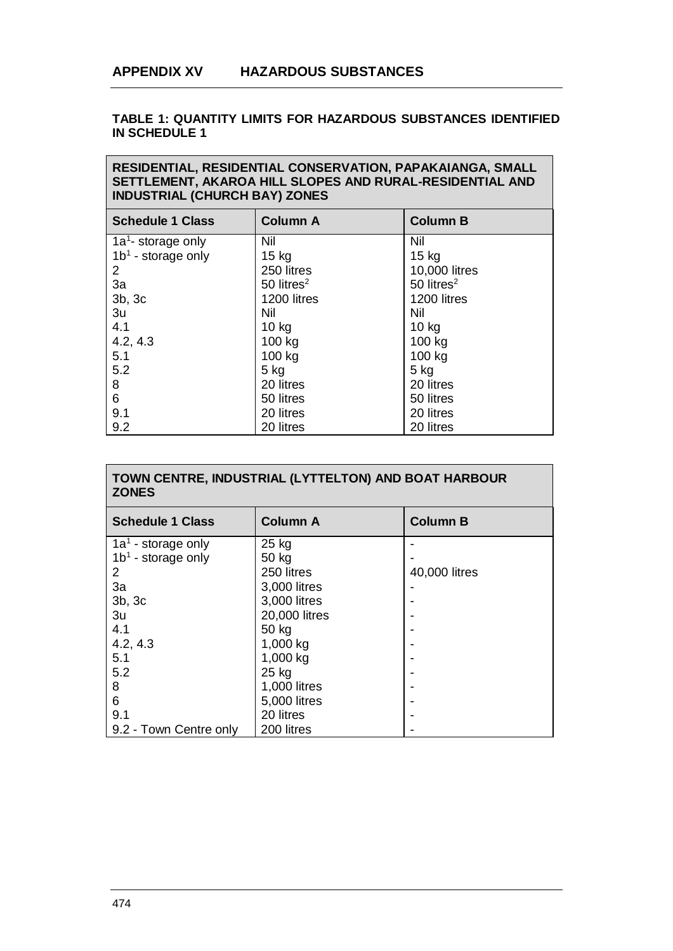## **TABLE 1: QUANTITY LIMITS FOR HAZARDOUS SUBSTANCES IDENTIFIED IN SCHEDULE 1**

## **RESIDENTIAL, RESIDENTIAL CONSERVATION, PAPAKAIANGA, SMALL SETTLEMENT, AKAROA HILL SLOPES AND RURAL-RESIDENTIAL AND INDUSTRIAL (CHURCH BAY) ZONES**

| <b>Schedule 1 Class</b>        | <b>Column A</b>          | <b>Column B</b>          |
|--------------------------------|--------------------------|--------------------------|
| 1a <sup>1</sup> - storage only | Nil                      | <b>Nil</b>               |
| $1b1$ - storage only           | 15 kg                    | $15$ kg                  |
| $\overline{2}$                 | 250 litres               | 10,000 litres            |
| 3a                             | $50$ litres <sup>2</sup> | $50$ litres <sup>2</sup> |
| 3b, 3c                         | 1200 litres              | 1200 litres              |
| 3u                             | Nil                      | Nil                      |
| 4.1                            | $10$ kg                  | $10$ kg                  |
| 4.2, 4.3                       | 100 kg                   | 100 kg                   |
| 5.1                            | 100 kg                   | 100 kg                   |
| 5.2                            | $5$ kg                   | $5$ kg                   |
| 8                              | 20 litres                | 20 litres                |
| 6                              | 50 litres                | 50 litres                |
| 9.1                            | 20 litres                | 20 litres                |
| 9.2                            | 20 litres                | 20 litres                |

| TOWN CENTRE, INDUSTRIAL (LYTTELTON) AND BOAT HARBOUR<br><b>ZONES</b> |                 |                 |  |
|----------------------------------------------------------------------|-----------------|-----------------|--|
| <b>Schedule 1 Class</b>                                              | <b>Column A</b> | <b>Column B</b> |  |
| $1a1$ - storage only                                                 | 25 kg           |                 |  |
| $1b1$ - storage only                                                 | 50 kg           |                 |  |
| 2                                                                    | 250 litres      | 40,000 litres   |  |
| 3a                                                                   | 3,000 litres    |                 |  |
| 3b, 3c                                                               | 3,000 litres    |                 |  |
| 3u                                                                   | 20,000 litres   |                 |  |
| 4.1                                                                  | 50 kg           |                 |  |
| 4.2, 4.3                                                             | 1,000 kg        |                 |  |
| 5.1                                                                  | 1,000 kg        |                 |  |
| 5.2                                                                  | 25 kg           |                 |  |
| 8                                                                    | 1,000 litres    |                 |  |
| 6                                                                    | 5,000 litres    |                 |  |
| 9.1                                                                  | 20 litres       |                 |  |
| 9.2 - Town Centre only                                               | 200 litres      |                 |  |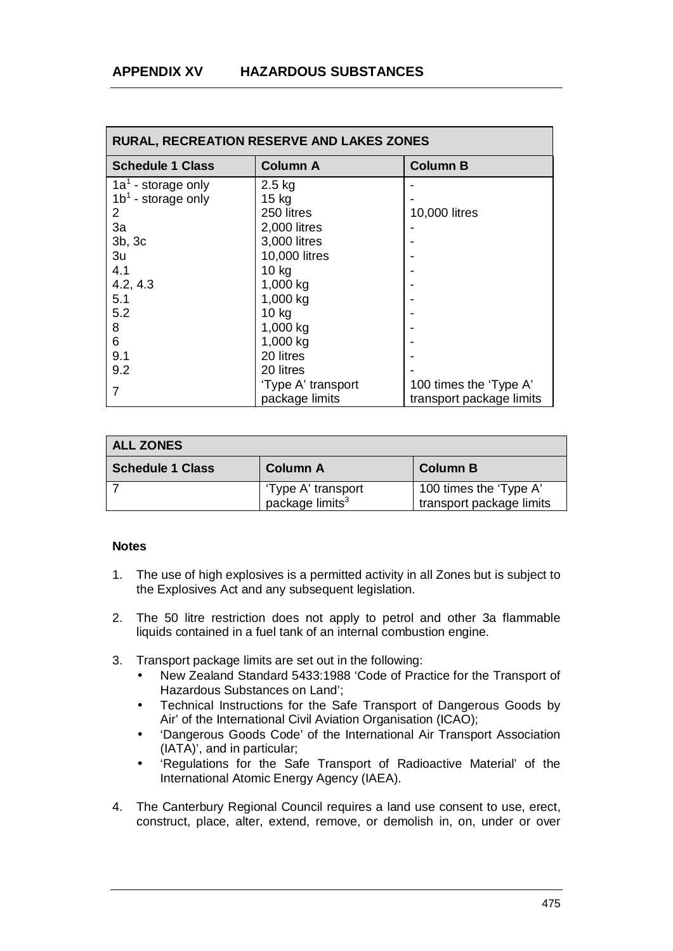| <b>RURAL, RECREATION RESERVE AND LAKES ZONES</b> |                    |                          |  |
|--------------------------------------------------|--------------------|--------------------------|--|
| <b>Schedule 1 Class</b>                          | <b>Column A</b>    | <b>Column B</b>          |  |
| $1a1$ - storage only                             | $2.5$ kg           |                          |  |
| $1b1$ - storage only                             | $15$ kg            |                          |  |
| $\mathbf{2}^{\mathsf{I}}$                        | 250 litres         | 10,000 litres            |  |
| 3a                                               | 2,000 litres       |                          |  |
| 3b, 3c                                           | 3,000 litres       |                          |  |
| 3u                                               | 10,000 litres      |                          |  |
| 4.1                                              | 10 kg              |                          |  |
| 4.2, 4.3                                         | 1,000 kg           |                          |  |
| 5.1                                              | 1,000 kg           |                          |  |
| 5.2                                              | $10$ kg            |                          |  |
| 8                                                | 1,000 kg           |                          |  |
| 6                                                | 1,000 kg           |                          |  |
| 9.1                                              | 20 litres          |                          |  |
| 9.2                                              | 20 litres          |                          |  |
| $\overline{7}$                                   | 'Type A' transport | 100 times the 'Type A'   |  |
|                                                  | package limits     | transport package limits |  |

| ALL ZONES               |                                                   |                                                    |  |
|-------------------------|---------------------------------------------------|----------------------------------------------------|--|
| <b>Schedule 1 Class</b> | Column A                                          | <b>Column B</b>                                    |  |
|                         | 'Type A' transport<br>package limits <sup>3</sup> | 100 times the 'Type A'<br>transport package limits |  |

## **Notes**

- 1. The use of high explosives is a permitted activity in all Zones but is subject to the Explosives Act and any subsequent legislation.
- 2. The 50 litre restriction does not apply to petrol and other 3a flammable liquids contained in a fuel tank of an internal combustion engine.
- 3. Transport package limits are set out in the following:
	- New Zealand Standard 5433:1988 'Code of Practice for the Transport of Hazardous Substances on Land';
	- Technical Instructions for the Safe Transport of Dangerous Goods by Air' of the International Civil Aviation Organisation (ICAO);
	- 'Dangerous Goods Code' of the International Air Transport Association ä, (IATA)', and in particular;
	- 'Regulations for the Safe Transport of Radioactive Material' of the ä, International Atomic Energy Agency (IAEA).
- 4. The Canterbury Regional Council requires a land use consent to use, erect, construct, place, alter, extend, remove, or demolish in, on, under or over